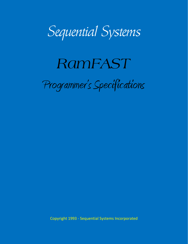

# *RamFAST*  Programmer's Specifications

Copyright 1993 - Sequential Systems Incorporated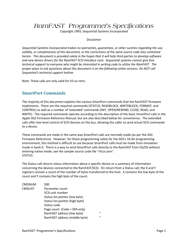*RamFAST Programmer's Specifications* 

Copyright 1993, Sequential Systems Incorporated

#### Disclaimer

*Sequential Systems Incorporated makes no warranties, guarantees, or other sureties regarding the use, validity, or completeness of this document, or the correctness of the same source code also contained herein. This document is provided solely in the hopes that it will help third parties to develop software and new device drivers for the RamFAST SCSI Interface card. Sequential systems cannot give free technical support to everyone who might be interested in writing code to utilize the RamFAST. The proper place to ask questions about this document is on the following online services. Do NOT call Sequential's technical support hotline.* 

Note: These calls are only valid for V3.xx roms.

## **SmartPort Commands**

The majority of this document explains the various SmartPort commands that the RamFAST firmware implements. There are the required commands (STATUS, READBLOCK, WRITEBLOCK, FORMAT, and CONTROL) as well as a number of 'extended' commands (INIT, OPEN/REWIND, CLOSE, READ, and WRITE). The required commands operate according to the description of the basic SmartPort calls in the Apple IIGS Firmware Reference Manual, but are also described below for convenience. The extended calls offer low-level control of SCSI devices on the bus, allowing the caller to send actual SCSI commands to a device.

These commands are made in the same way SmartPort calls are normally made (as per the IIGS Firmware Reference). However, for those programming solely for the IIGS's 16-bit programming environment, this method is difficult to use because SmartPort calls must be made from emulation mode in bank 0. There is a way to send SmartPort calls directly to the RamFAST from GS/OS without entering native mode; see the sample source code file "rfscsi.asm". **STATUS** 

The Status call returns status information about a specific device or a summary of information concerning the devices connected to the RamFAST/SCSI. On return from a Status call, the X and Y registers contain a count of the number of bytes transferred to the host. X contains the low byte of the count and Y contains the high byte of the count.

CMDNUM \$00 CMDLIST Parameter count SCSI unit number Status list pointer (low byte) Status list pointer (high byte) Status code Page count (Code = \$04 only) RamFAST address (low byte) " RamFAST address (middle byte) "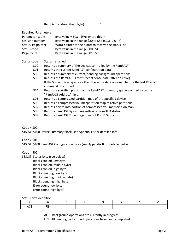RamFAST address (high byte) "

#### Required Parameters

| Parameter count     | Byte value = $$03$ (We ignore this :) )                 |
|---------------------|---------------------------------------------------------|
| Scsi unit number    | Byte value in the range \$80 to \$87 (SCSI ID $0 - 7$ ) |
| Status list pointer | Word pointer to the buffer to receive the status list   |
| Status code         | Byte value in the range \$00 - \$FF                     |
| Page count          | Byte value in the range \$01 - \$7F                     |

#### Status code Status returned

- \$00 Returns a summary of the devices controlled by the RamFAST
- \$01 Returns the current RamFAST configuration data
- \$02 Returns a summary of current/pending background operations
- \$03 Returns the RamFAST's most recent sense data (after an error) If the Scsi unit is a tape drive then the sense data obtained before the last REWIND command is returned.
- \$04 Returns a specified portion of the RamFAST's memory space, pointed to by the "RamFAST Address" field.
- \$05 Returns a compressed partition map of the specified device
- \$06 Returns a compressed volume/partition map of active partitions
- \$07 Returns device info portion of compressed volume/partition map
- \$08 Returns RamFAST.System regardless of RomDISK status
- \$09 Returns RamFAST.Driver regardless of RomDISK status

#### $Code = $00$

STSLST \$100 Device Summary Block (see Appendix A for detailed info)

#### $Code = $01$

STSLST \$100 RamFAST Configuration Block (see Appendix B for detailed info)

#### $Code = $02$

STSLST Status byte (see below) Blocks copied (low byte) Blocks copied (middle byte) Blocks copied (high byte) Blocks pending (low byte) Blocks pending (middle byte) Blocks pending (high byte) Error count (low byte) Error count (high byte)

#### Status byte definition:

| ACT<br>$\cdot$ $\cdot$ | <b>FIN</b><br>. |  |  |  |
|------------------------|-----------------|--|--|--|

ACT - Background operations are currently in progress

FIN - All pending background operations have been completed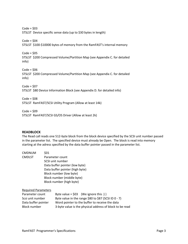$Code = $03$ STSLST Device specific sense data (up to \$30 bytes in length)  $Code = $04$ STSLST \$100-\$10000 bytes of memory from the RamFAST's internal memory  $Code = $05$ STSLST \$200 Compressed Volume/Partition Map (see Appendix C. for detailed info)  $Code = $06$ STSLST \$200 Compressed Volume/Partition Map (see Appendix C. for detailed info)  $Code = $07$ STSLST \$80 Device Information Block (see Appendix D. for detailed info)  $Code = $08$ STSLST RamFAST/SCSI Utility Program (Allow at least 14k)

 $Code = $09$ STSLST RamFAST/SCSI GS/OS Driver (Allow at least 2k)

#### **READBLOCK**

The Read call reads one 512-byte block from the block device specified by the SCSI unit number passed in the parameter list. The specified device must already be Open. The block is read into memory starting at the adress specified by the data buffer pointer passed in the parameter list.

| <b>CMDNUM</b>              | \$01 |                                                          |  |  |
|----------------------------|------|----------------------------------------------------------|--|--|
| <b>CMDLST</b>              |      | Parameter count                                          |  |  |
|                            |      | SCSI unit number                                         |  |  |
|                            |      | Data buffer pointer (low byte)                           |  |  |
|                            |      | Data buffer pointer (high byte)                          |  |  |
|                            |      | Block number (low byte)                                  |  |  |
|                            |      | Block number (middle byte)                               |  |  |
|                            |      | Block number (high byte)                                 |  |  |
| <b>Required Parameters</b> |      |                                                          |  |  |
| Parameter count            |      | Byte value = $$03$ (We ignore this :))                   |  |  |
| Scsi unit number           |      | Byte value in the range \$80 to \$87 (SCSI ID $0 - 7$ )  |  |  |
| Data buffer pointer        |      | Word pointer to the buffer to receive the data           |  |  |
| <b>Block number</b>        |      | 3-byte value is the physical address of block to be read |  |  |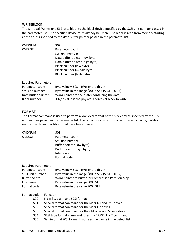#### **WRITEBLOCK**

The write call Writes one 512-byte block to the block device specified by the SCSI unit number passed in the parameter list. The specified device must already be Open. The block is read from memory starting at the adress specified by the data buffer pointer passed in the parameter list.

| <b>CMDNUM</b>              | \$02                                                    |  |  |
|----------------------------|---------------------------------------------------------|--|--|
| <b>CMDLST</b>              | Parameter count                                         |  |  |
|                            | Scsi unit number                                        |  |  |
|                            | Data buffer pointer (low byte)                          |  |  |
|                            | Data buffer pointer (high byte)                         |  |  |
|                            | Block number (low byte)                                 |  |  |
|                            | Block number (middle byte)                              |  |  |
|                            | Block number (high byte)                                |  |  |
| <b>Required Parameters</b> |                                                         |  |  |
| Parameter count            | Byte value = $$03$ (We ignore this :) )                 |  |  |
| Scsi unit number           | Byte value in the range \$80 to \$87 (SCSI ID $0 - 7$ ) |  |  |
| Data buffer pointer        | Word pointer to the buffer containing the data          |  |  |
| <b>Block number</b>        | 3-byte value is the physical address of block to write  |  |  |

#### **FORMAT**

The Format command is used to perform a low-level format of the block device specified by the SCSI unit number passed in the parameter list. The call optionally returns a compressed volume/partition map of the default partitions that have been created.

| <b>CMDNUM</b>              | \$03                                                             |  |
|----------------------------|------------------------------------------------------------------|--|
| <b>CMDLST</b>              | Parameter count                                                  |  |
|                            | Scsi unit number                                                 |  |
|                            | Buffer pointer (low byte)                                        |  |
|                            | Buffer pointer (high byte)                                       |  |
|                            | Interleave                                                       |  |
|                            | Format code                                                      |  |
| <b>Required Parameters</b> |                                                                  |  |
| Parameter count            | Byte value = $$03$ (We ignore this :))                           |  |
| SCSI unit number           | Byte value in the range \$80 to \$87 (SCSI ID $0 - 7$ )          |  |
| Buffer pointer             | Word pointer to buffer for Compressed Partition Map              |  |
| Interleave                 | Byte value in the range \$00 - \$FF                              |  |
| Format code                | Byte value in the range \$00 - \$FF                              |  |
| Format code                | Function                                                         |  |
| \$00                       | No-frills, plain-jane SCSI format                                |  |
| \$01                       | Special format command for the Sider D4 and D4T drives           |  |
| \$02                       | Special format command for the Sider D2 drives                   |  |
| \$03                       | Special format command for the old Sider and Sider 2 drives      |  |
| \$04                       | SASI tape format command (uses the ERASE UNIT command)           |  |
| \$05                       | Semi-normal SCSI format that frees the blocks in the defect list |  |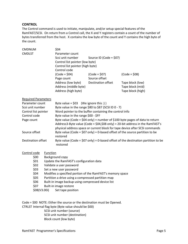#### **CONTROL**

The Control command is used to initiate, manipulate, and/or setup special features of the RamFAST/SCSI. On return from a Control call, the X and Y registers contain a count of the number of bytes transferred from the host. X contains the low byte of the count and Y contains the high byte of the count.

| <b>CMDNUM</b>              |          | \$04                                                                          |                           |                                                                                    |  |
|----------------------------|----------|-------------------------------------------------------------------------------|---------------------------|------------------------------------------------------------------------------------|--|
| <b>CMDLST</b>              |          | Parameter count                                                               |                           |                                                                                    |  |
|                            |          | Scsi unit number                                                              | Source ID (Code = $$07$ ) |                                                                                    |  |
|                            |          | Control list pointer (low byte)                                               |                           |                                                                                    |  |
|                            |          | Control list pointer (high byte)                                              |                           |                                                                                    |  |
|                            |          | Control code                                                                  |                           |                                                                                    |  |
|                            |          | $(Code = $04)$                                                                | $(Code = $07)$            | $(Code = $08)$                                                                     |  |
|                            |          | Page count                                                                    | Source offset             |                                                                                    |  |
|                            |          | Address (low byte)                                                            | Destination offset        | Tape block (low)                                                                   |  |
|                            |          | Address (middle byte)                                                         |                           | Tape block (mid)                                                                   |  |
|                            |          | Address (high byte)                                                           |                           | Tape block (high)                                                                  |  |
| <b>Required Parameters</b> |          |                                                                               |                           |                                                                                    |  |
| Parameter count            |          | Byte value = $$03$ (We ignore this :))                                        |                           |                                                                                    |  |
| Scsi unit number           |          | Byte value in the range \$80 to \$87 (SCSI ID 0 - 7)                          |                           |                                                                                    |  |
| Control list pointer       |          | Word pointer to the buffer containing the control info                        |                           |                                                                                    |  |
| Control code               |          | Byte value in the range \$00 - \$FF                                           |                           |                                                                                    |  |
| Page count                 |          | Byte value (Code = \$04 only) = number of \$100 byte pages of data to return  |                           |                                                                                    |  |
|                            |          | Address3-Byte value (Code = \$04,\$08 only) = 20-bit address in the RamFAST's |                           |                                                                                    |  |
|                            |          | physical address space or current block for tape device after SCSI commands   |                           |                                                                                    |  |
| Source offset              |          | Byte value (Code = $$07$ only) = 0-based offset of the source partition to be |                           |                                                                                    |  |
|                            |          | restored                                                                      |                           |                                                                                    |  |
| <b>Destination offset</b>  |          | restored                                                                      |                           | Byte value (Code = $$07$ only) = 0-based offset of the destination partition to be |  |
| Control code               | Function |                                                                               |                           |                                                                                    |  |
| \$00                       |          | Background copy                                                               |                           |                                                                                    |  |
| \$01                       |          | Update the RamFAST's configuration data                                       |                           |                                                                                    |  |
| \$02                       |          | Validate a user password                                                      |                           |                                                                                    |  |
| \$03                       |          | Set a new user password                                                       |                           |                                                                                    |  |
| \$04                       |          | Modifies a specified portion of the RamFAST's memory space                    |                           |                                                                                    |  |

- \$05 Partition a drive using a compressed partition map
- \$06 Built-in image backup using compressed device list
- \$07 Built-in image restore
- \$08(V3.00i) Set tape position

Code = \$00 NOTE: Either the source or the destination must be Opened.

CTRLST Internal flag byte (Byte value should be \$00)

 SCSI unit number (source) SCSI unit number (destination) Block count (low byte)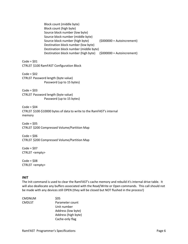Block count (middle byte) Block count (high byte) Source block number (low byte) Source block number (middle byte) Source block number (high byte) (\$000000 = Autoincrement) Destination block number (low byte) Destination block number (middle byte) Destination block number (high byte) (\$000000 = Autoincrement)  $Code = $01$ CTRLST \$100 RamFAST Configuration Block  $Code = $02$ CTRLST Password length (byte value) Password (up to 15 bytes)  $Code = $03$ CTRLST Password length (byte value) Password (up to 15 bytes)  $Code = $04$ CTRLST \$100-\$10000 bytes of data to write to the RamFAST's internal memory  $Code = $05$ CTRLST \$200 Compressed Volume/Partition Map  $Code = $06$ CTRLST \$200 Compressed Volume/Partition Map  $Code = $07$ CTRLST <empty>  $Code = $08$ CTRLST <empty>

#### **INIT**

The Init command is used to clear the RamFAST's cache memory and rebuild it's internal drive table. It will also deallocate any buffers associated with the Read/Write or Open commands. This call should not be made with any devices still OPEN (they will be closed but NOT flushed in the process!)

| <b>CMDNUM</b> | \$05                |
|---------------|---------------------|
| <b>CMDLST</b> | Parameter count     |
|               | Unit number         |
|               | Address (low byte)  |
|               | Address (high byte) |
|               | Cache-only flag     |
|               |                     |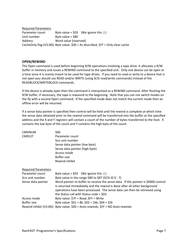Required Parameters Parameter count Byte value =  $$03$  (We ignore this :) ) Unit number  $\qquad \qquad$  Byte value = \$80 Address Word value (reserved) CacheOnly flag (V3.00i) Byte value: \$00 = As described, \$FF = Only clear cache

#### **OPEN/REWIND**

The Open command is used before beginning R/W operations involving a tape drive. It allocates a R/W buffer in memory and issues a REWIND command to the specified unit. Only one device can be open at a time since it is mainly meant to be used for tape drives. If you need to read or write to a device that is not open you should use READ and/or WRITE (using SCSI read/write commands) instead of the READBLOCK/WRITEBLOCK commands.

If the device is already open then the command is interpreted as a REWIND command. After flushing the R/W buffer, if necessary, the tape is rewound to the beginning. Note that you can not switch modes on the fly with a second Open command. If the specified mode does not match the current mode then an offline error will be returned.

If a sense data pointer is specified then control will be held until the rewind is complete at which time the sense data obtained prior to the rewind command will be transferred into the buffer at the specified address and the X and Y registers will contain a count of the number of bytes transferred to the host. X contains the low byte of the count and Y contains the high byte of the count.

| <b>CMDNUM</b>              | \$06                                                                                                                                                            |
|----------------------------|-----------------------------------------------------------------------------------------------------------------------------------------------------------------|
| <b>CMDLST</b>              | Parameter count                                                                                                                                                 |
|                            | Scsi unit number                                                                                                                                                |
|                            | Sense data pointer (low byte)                                                                                                                                   |
|                            | Sense data pointer (high byte)                                                                                                                                  |
|                            | Access mode                                                                                                                                                     |
|                            | <b>Buffer size</b>                                                                                                                                              |
|                            | Rewind inhibit                                                                                                                                                  |
| <b>Required Parameters</b> |                                                                                                                                                                 |
| Parameter count            | Byte value = $$03$ (We ignore this :))                                                                                                                          |
| Scsi unit number           | Byte value in the range \$80 to \$87 (SCSI ID 0 - 7)                                                                                                            |
| Sense data pointer         | Word pointer to buffer to receive the sense data If this pointer is \$0000 control<br>is returned immediately and the rewind is done after all other background |
|                            | operations have been processed. The sense data can then be retrieved using                                                                                      |
|                            | the Status call with Status code = $$03.$                                                                                                                       |
| Access mode                | Byte value: $$7F = Read, $FF = Write$                                                                                                                           |
| <b>Buffer size</b>         | Byte value: $$01 = 8k, $02 = 16k, $04 = 32k$$                                                                                                                   |
|                            | Rewind inhibit (V3.00i) Byte value: \$00 = Auto-rewinds, \$FF = NO Auto-rewinds                                                                                 |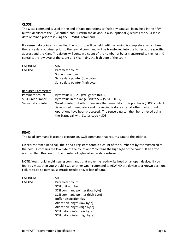#### **CLOSE**

The Close command is used at the end of tape operations to flush any data still being held in the R/W buffer, deallocate the R/W buffer, and REWIND the device. It also (optionally) returns the SCSI sense data obtained prior to issuing the REWIND command.

If a sense data pointer is specified then control will be held until the rewind is complete at which time the sense data obtained prior to the rewind command will be transferred into the buffer at the specified address and the X and Y registers will contain a count of the number of bytes transferred to the host. X contains the low byte of the count and Y contains the high byte of the count.

| <b>CMDNUM</b> | \$07                           |
|---------------|--------------------------------|
| <b>CMDLST</b> | Parameter count                |
|               | Scsi unit number               |
|               | Sense data pointer (low byte)  |
|               | Sense data pointer (high byte) |
|               |                                |

#### Required Parameters

| Parameter count    | Byte value = $$02$ (We ignore this :))                                                                                                                                                                                                                                                     |
|--------------------|--------------------------------------------------------------------------------------------------------------------------------------------------------------------------------------------------------------------------------------------------------------------------------------------|
| SCSIi unit number  | Byte value in the range \$80 to \$87 (SCSI ID 0 - 7)                                                                                                                                                                                                                                       |
| Sense data pointer | Word pointer to buffer to receive the sense data If this pointer is \$0000 control<br>is returned immediately and the rewind is done after all other background<br>operations have been processed. The sense data can then be retrieved using<br>the Status call with Status code = $$03.$ |

#### **READ**

The Read command is used to execute any SCSI command that returns data to the initiator.

On return from a Read call, the X and Y registers contain a count of the number of bytes transferred to the host. X contains the low byte of the count and Y contains the high byte of the count. If an error occured then this count is the number of bytes of sense data returned.

NOTE: You should avoid issuing commands that move the read/write head on an open device. If you feel you must then you should issue another Open command to REWIND the device to a known position. Failure to do so may cause erratic results and/or loss of data.

| <b>CMDNUM</b> | \$08                             |
|---------------|----------------------------------|
| <b>CMDLST</b> | Parameter count                  |
|               | SCSI unit number                 |
|               | SCSI command pointer (low byte)  |
|               | SCSI command pointer (high byte) |
|               | <b>Buffer disposition flag</b>   |
|               | Allocation length (low byte)     |
|               | Allocation length (high byte)    |
|               | SCSI data pointer (low byte)     |
|               | SCSI data pointer (high byte)    |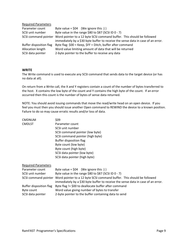| Byte value = $$04$ (We ignore this :))                                                      |
|---------------------------------------------------------------------------------------------|
| Byte value in the range \$80 to \$87 (SCSI ID 0 - 7)                                        |
| SCSI command pointer Word pointer to a 12 byte SCSI command buffer. This should be followed |
| immediately by a \$30 byte buffer to receive the sense data in case of an error.            |
| Byte flag: \$00 = Keep, \$FF = Ditch, buffer after command                                  |
| Word value limiting amount of data that will be returned                                    |
| 2-byte pointer to the buffer to receive any data                                            |
|                                                                                             |

#### **WRITE**

The Write command is used to execute any SCSI command that sends data to the target device (or has no data at all).

On return from a Write call, the X and Y registers contain a count of the number of bytes transferred to the host. X contains the low byte of the count and Y contains the high byte of the count. If an error occurred then this count is the number of bytes of sense data returned.

NOTE: You should avoid issuing commands that move the read/write head on an open device. If you feel you must then you should issue another Open command to REWIND the device to a known position. Failure to do so may cause erratic results and/or loss of data.

| <b>CMDNUM</b>              | \$09                                                                                                                                                       |  |  |  |  |  |
|----------------------------|------------------------------------------------------------------------------------------------------------------------------------------------------------|--|--|--|--|--|
| <b>CMDLST</b>              | Parameter count                                                                                                                                            |  |  |  |  |  |
|                            | SCSI unit number                                                                                                                                           |  |  |  |  |  |
|                            | SCSI command pointer (low byte)                                                                                                                            |  |  |  |  |  |
|                            | SCSI command pointer (high byte)                                                                                                                           |  |  |  |  |  |
|                            | Buffer disposition flag                                                                                                                                    |  |  |  |  |  |
|                            | Byte count (low byte)                                                                                                                                      |  |  |  |  |  |
|                            | Byte count (high byte)                                                                                                                                     |  |  |  |  |  |
|                            | SCSI data pointer (low byte)                                                                                                                               |  |  |  |  |  |
|                            | SCSI data pointer (high byte)                                                                                                                              |  |  |  |  |  |
| <b>Required Parameters</b> |                                                                                                                                                            |  |  |  |  |  |
| Parameter count            | Byte value = $$04$ (We ignore this :))                                                                                                                     |  |  |  |  |  |
| SCSI unit number           | Byte value in the range \$80 to \$87 (SCSI ID $0 - 7$ )                                                                                                    |  |  |  |  |  |
| SCSI command pointer       | Word pointer to a 12 byte SCSI command buffer. This should be followed<br>immediately by a \$30 byte buffer to receive the sense data in case of an error. |  |  |  |  |  |
| Buffer disposition flag    | Byte flag != \$00 to deallocate buffer after command                                                                                                       |  |  |  |  |  |
| Byte count                 | Word value giving number of bytes to transfer                                                                                                              |  |  |  |  |  |
| SCSI data pointer          | 2-byte pointer to the buffer containing data to send                                                                                                       |  |  |  |  |  |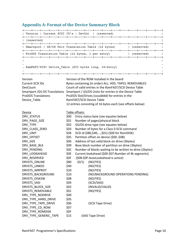## **Appendix A: Format of the Device Summary Block**

```
| Version | Current SCSI ID's | DevCnt | (reserved)
| (reserved)
| Smartport / GS/OS Unit Translation Table (12 bytes) | (reserved)
| ProDOS Translation Table (12 bytes, 1 per entry)
                                       | (reserved)
                                                          \blacksquare. RamFAST/SCSI Device Table ($C0 bytes long, 16/entry)
Version Version of the ROM installed in the board 
Current SCSI IDs Bytes containing (in order) ALL, HDS, TAPES, REMOVABLES 
DevCount Count of valid entries in the RamFAST/SCSI Device Table 
Smartport /GS-OS Translations Smartport / GS/OS Units for entries in the Device Table 
ProDOS Translations ProDOS Slot/Drives (ssssdddd) for entries in the 
Device_Table RamFAST/SCSI Device Table
                   12 entries consisting of 16 bytes each (see offsets below) 
Device Table offsets:
DRV_STATUS $00 Entry status byte (see equates below)
DRV_PAGE_SIZE $01 Number of pages/physical block
DRV TYPE $02 GS/OS drive type (see equates below)
DRV CLASS ZERO $03 Number of bytes for a Class 0 SCSI command
DRV UNIT $04 SCSI id ($80,$40,...,$01) ($00 for RomDISK)
DRV_OFFSET $05 Partition offset on device ($00..$0B)
DRV_SIZE $06 Address of last valid block on drive (3bytes)
DRV_BASE_BLK $09 Base block number of partition on drive (3bytes)
DRV_PENDING \begin{array}{c} 50C \quad \text{Number of blocks waiting to be written to drive (2bytes)} \end{array}DRV_LOOKAHEAD $0E Current lookahead ($00-$07:Number of 4k segments)
DRV_RESERVED $0F ($08-$0F:AutoLookahead is active)
DRVSTS_ONLINE $80 (0/1) (NO/YES)
DRVSTS_LINKED $40 (NO/YES)
DRVSTS WRPROT $20 (NO/YES)
DRVSTS_BACKGROUND $10 (NO/BACKGROUND OPERATIONS PENDING)
DRVSTS_DISKSW $08 (NO/YES)
DRVSTS_SASI $04 (SCSI/SASI)
DRVSTS_BLOCK_SIZE $02 (INVALID/VALID)
DRVSTS REMOVABLE $01 (NO/YES)
DRV_TYPE_NODRIVE $00
DRV_TYPE_HARD_DRIVE $05
DRV_TYPE_TAPE_DRIVE $06 (SCSI Tape Drive)
DRV_TYPE_CD_ROM $07
DRV_TYPE_ROMDISK $0F
DRV TYPE GENERIC TAPE $15 (SASI Tape Drive)
```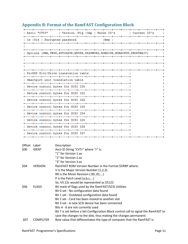|      | Ascii "CVT3"                                                                                        | Version   Flq   Cmp   Known ID's                                                         |  |  |  |        |  |  | Current ID's |  |
|------|-----------------------------------------------------------------------------------------------------|------------------------------------------------------------------------------------------|--|--|--|--------|--|--|--------------|--|
|      |                                                                                                     | Cs   S16   Encrypted password                                                            |  |  |  | IMem I |  |  |              |  |
|      |                                                                                                     |                                                                                          |  |  |  |        |  |  |              |  |
|      |                                                                                                     | Options (DMA, TWGS, AUTOSAVE, MOUSE, PASSWORD, ROMDISK, HDBACKUP, SHORTWAIT)             |  |  |  |        |  |  |              |  |
|      |                                                                                                     |                                                                                          |  |  |  |        |  |  |              |  |
|      |                                                                                                     |                                                                                          |  |  |  |        |  |  |              |  |
|      |                                                                                                     | ProDOS Slot/Drive translation table                                                      |  |  |  |        |  |  |              |  |
|      |                                                                                                     |                                                                                          |  |  |  |        |  |  |              |  |
|      |                                                                                                     | Smartport unit translation table                                                         |  |  |  |        |  |  |              |  |
|      |                                                                                                     | Device control bytes for SCSI IDO                                                        |  |  |  |        |  |  |              |  |
|      |                                                                                                     | Device control bytes for SCSI ID1                                                        |  |  |  |        |  |  |              |  |
|      |                                                                                                     | Device control bytes for SCSI ID2                                                        |  |  |  |        |  |  |              |  |
|      |                                                                                                     | Device control bytes for SCSI ID3                                                        |  |  |  |        |  |  |              |  |
|      |                                                                                                     | Device control bytes for SCSI ID4                                                        |  |  |  |        |  |  |              |  |
|      |                                                                                                     | Device control bytes for SCSI ID5                                                        |  |  |  |        |  |  |              |  |
|      |                                                                                                     | Device control bytes for SCSI ID6                                                        |  |  |  |        |  |  |              |  |
|      |                                                                                                     |                                                                                          |  |  |  |        |  |  |              |  |
|      |                                                                                                     | Device control bytes for SCSI ID7                                                        |  |  |  |        |  |  |              |  |
|      | Offset Label                                                                                        | Description                                                                              |  |  |  |        |  |  |              |  |
| \$00 | <b>IDENT</b>                                                                                        | Ascii ID String "CVTr" where "r" is:                                                     |  |  |  |        |  |  |              |  |
|      |                                                                                                     | "1" for Version 1.xx<br>"2" for Version 2.xx                                             |  |  |  |        |  |  |              |  |
|      |                                                                                                     | "3" for Version 3.xx                                                                     |  |  |  |        |  |  |              |  |
| \$04 | <b>VERSION</b>                                                                                      | RamFAST ROM Version Number in the Format \$VRRP where:                                   |  |  |  |        |  |  |              |  |
|      |                                                                                                     | V is the Major Version Number (1,2,3)<br>RR is the Minor Revision (.00,.01,)             |  |  |  |        |  |  |              |  |
|      |                                                                                                     | P is the Patch Level (a,b,c,)                                                            |  |  |  |        |  |  |              |  |
|      |                                                                                                     | So, V5.12c would be represented as \$5122                                                |  |  |  |        |  |  |              |  |
| \$06 | <b>FLAGS</b>                                                                                        | Bit mask of flags used by the RamFAST/SCSI Utilities                                     |  |  |  |        |  |  |              |  |
|      |                                                                                                     | Bit 0 set - No configuration data found<br>Bit 1 set - Outdated configuration data found |  |  |  |        |  |  |              |  |
|      | Bit 2 set - Card has been moved to another slot<br>Bit 3 set - A new SCSI device has been connected |                                                                                          |  |  |  |        |  |  |              |  |
|      |                                                                                                     |                                                                                          |  |  |  |        |  |  |              |  |
|      |                                                                                                     | Bit 7 is set before a Set Configuration Block control call to signal the RamFAST to      |  |  |  |        |  |  |              |  |
|      |                                                                                                     | save the changes to the disk, thus making the changes permanent                          |  |  |  |        |  |  |              |  |
| \$07 | Byte value that differentiates the type of computer that the RamFAST is<br><b>COMPUTER</b>          |                                                                                          |  |  |  |        |  |  |              |  |

# **Appendix B: Format of the RamFAST Configuration Block**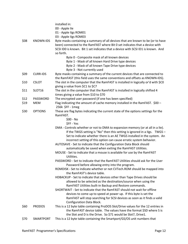|      |                    | installed in:                                                                                                                                                  |
|------|--------------------|----------------------------------------------------------------------------------------------------------------------------------------------------------------|
|      |                    | 00 - Apple IIe                                                                                                                                                 |
|      |                    | 01 - Apple IIgs ROM01                                                                                                                                          |
|      |                    | 03 - Apple IIgs ROM03                                                                                                                                          |
| \$08 | <b>KNOWN-IDS</b>   | Byte masks containing a summary of all devices that are known to be (or to have<br>been) connected to the RamFAST where Bit 0 set indicates that a device with |
|      |                    | SCSI ID0 is known. Bit 1 set indicates that a device with SCSI ID1 is known. And                                                                               |
|      |                    | so forth.                                                                                                                                                      |
|      |                    | Byte 0 - Composite mask of all known devices                                                                                                                   |
|      |                    | Byte 1 - Mask of all known Hard Drive type devices                                                                                                             |
|      |                    | Byte 2 - Mask of all known Tape Drive type devices                                                                                                             |
|      |                    | Byte 3 - Not currently used                                                                                                                                    |
| \$09 | <b>CURR-IDS</b>    | Byte masks containing a summary of the current devices that are connected to                                                                                   |
|      |                    | the RamFAST (this field uses the same conventions and offsets as KNOWN-IDS).                                                                                   |
| \$10 | <b>CSLOT</b>       | The slot in the computer that the RamFAST is installed in logically or'd with \$CO                                                                             |
|      |                    | giving a value from \$C1 to \$C7                                                                                                                               |
| \$11 | SLOT <sub>16</sub> | The slot in the computer that the RamFAST is installed in logically shifted 4                                                                                  |
|      |                    | times giving a value from \$10 to \$70                                                                                                                         |
| \$12 | PASSWORD           | The encrypted user password (if one has been specified)                                                                                                        |
| \$19 | <b>MEM</b>         | Flag indicating the amount of cache memory installed in the RamFAST. \$00 -                                                                                    |
|      |                    | 256k \$FF - 1meg                                                                                                                                               |
| \$30 | <b>OPTIONS</b>     | These are flag bytes indicating the current state of the options settings for the                                                                              |
|      |                    | RamFAST.                                                                                                                                                       |
|      |                    | $$00 - No$                                                                                                                                                     |
|      |                    | \$FF - Yes                                                                                                                                                     |
|      |                    | DMA - Controls whether or not to DMA to expansion memory (or at all in a IIe).                                                                                 |
|      |                    | If the TWGS setting is "No" then this setting is ignored in a Ilgs. TWGS -                                                                                     |
|      |                    | Set to indicate whether there is an AE TWGS installed in the system. An                                                                                        |
|      |                    | incorrect setting of this option can cause erratic system behavior.                                                                                            |
|      |                    | AUTOSAVE - Set to indicate that the Configuration Data Block should                                                                                            |
|      |                    | automatically be saved when exiting the RamFAST Utilities.                                                                                                     |
|      |                    | MOUSE - Set to indicate that a mouse is available for use by the RamFAST                                                                                       |
|      |                    | Utilities.                                                                                                                                                     |
|      |                    | PASSWORD - Set to indicate that the RamFAST Utilities should ask for the User                                                                                  |
|      |                    | Password before allowing entry into the program.                                                                                                               |
|      |                    | ROMDISK - Set to indicate whether or not CVTech.ROM should be mapped into                                                                                      |
|      |                    | the RamFAST's device table.                                                                                                                                    |
|      |                    | HDBACKUP - Set to indicate that devices other than Tape Drives should be                                                                                       |
|      |                    | allowed to be selected as the destination/source when using the                                                                                                |
|      |                    | RamFAST Utilities built-in Backup and Restore commands.                                                                                                        |
|      |                    | SHORTWAIT - Set to indicate that the RamFAST should not wait for offline                                                                                       |
|      |                    | devices to come up to speed at power up. If this byte is set the                                                                                               |
|      |                    | RamFAST will stop searching for SCSI devices as soon as it finds a valid                                                                                       |
|      |                    | Configuration Data Block.                                                                                                                                      |
| \$60 | <b>PRODOS</b>      | This is a 12 byte table containing ProDOS Slot/Drive values for the 12 entries in                                                                              |
|      |                    | the RamFAST device table. The values have the format \$SD where S is                                                                                           |
|      |                    | the Slot and D is the Drive. So \$71 would be Slot7, Drive1.                                                                                                   |
| \$70 | <b>SMARTPORT</b>   | This is a 12 byte table containing the Smartport/GS/OS unit numbers that                                                                                       |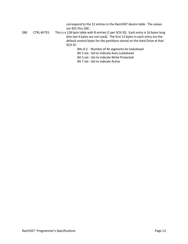|      |                   | correspond to the 12 entries in the RamFAST device table. The values<br>are \$01 thru \$0C.                                                                       |
|------|-------------------|-------------------------------------------------------------------------------------------------------------------------------------------------------------------|
| \$80 | <b>CTRL-BYTES</b> | This is a 128 byte table with 8 entries (1 per SCSI ID). Each entry is 16 bytes long<br>(the last 4 bytes are not used). The first 12 bytes in each entry are the |
|      |                   | default control bytes for the partitions stored on the Hard Drive at that                                                                                         |
|      |                   | SCSI ID:                                                                                                                                                          |
|      |                   | Bits 0-2 - Number of 4k segments for lookahead                                                                                                                    |
|      |                   | Bit 3 set - Set to indicate Auto Lookahead                                                                                                                        |
|      |                   | Bit 5 set - Set to indicate Write Protected                                                                                                                       |
|      |                   | Bit 7 set - Set to indicate Active                                                                                                                                |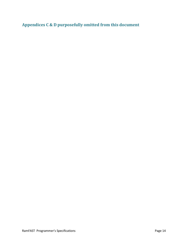**Appendices C & D purposefully omitted from this document**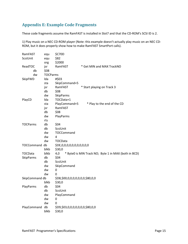# **Appendix E: Example Code Fragments**

These code fragments assume the RamFAST is installed in Slot7 and that the CD-ROM's SCSI ID is 2.

1) Play music on a NEC CD-ROM player (Note: this example doesn't actually play music on an NEC CD-ROM, but it does properly show how to make RamFAST SmartPort calls).

| RamFAST              | equ             | \$C70D                           |                                                      |
|----------------------|-----------------|----------------------------------|------------------------------------------------------|
| ScsiUnit             | equ             | \$82                             |                                                      |
|                      | org             | \$2000                           |                                                      |
| ReadTOC              | jsr             | RamFAST                          | * Get MIN and MAX TrackNO                            |
| db                   | \$08            |                                  |                                                      |
| dw                   | <b>TOCParms</b> |                                  |                                                      |
| SkipFWD              | Ida             | #\$03                            |                                                      |
|                      | sta             | SkipCommand+5                    |                                                      |
|                      | jsr             | RamFAST                          | * Start playing on Track 3                           |
|                      | db              | \$08                             |                                                      |
|                      | dw              | <b>SkipParms</b>                 |                                                      |
| PlayCD               | Ida             | TOCData+1                        |                                                      |
|                      | sta             | PlayCommand+5                    | * Play to the end of the CD                          |
|                      | jsr             | RamFAST                          |                                                      |
|                      | db              | \$08                             |                                                      |
|                      | dw              | PlayParms                        |                                                      |
|                      | rts             |                                  |                                                      |
| <b>TOCParms</b>      | db              | \$04                             |                                                      |
|                      | db              | ScsiUnit                         |                                                      |
|                      | dw              | TOCCommand                       |                                                      |
|                      | dw              | 4                                |                                                      |
|                      | dw              | <b>TOCData</b>                   |                                                      |
| <b>TOCCommand db</b> |                 | \$DE,0,0,0,0,0,0,0,0,0,0,0       |                                                      |
|                      | blkb            | \$30,0                           |                                                      |
| <b>TOCData</b>       | blkb            | 4,0                              | * Byte0 is MIN Track NO; Byte 1 in MAX (both in BCD) |
| <b>SkipParms</b>     | db              | \$04                             |                                                      |
|                      | db              | ScsiUnit                         |                                                      |
|                      | dw              | SkipCommand                      |                                                      |
|                      | dw              | 0                                |                                                      |
|                      | dw              | 0                                |                                                      |
| SkipCommand db       |                 | \$D8,\$00,0,0,0,0,0,0,0,\$80,0,0 |                                                      |
|                      | blkb            | \$30,0                           |                                                      |
| PlayParms            | db              | \$04                             |                                                      |
|                      | db              | ScsiUnit                         |                                                      |
|                      | dw              | PlayCommand                      |                                                      |
|                      | dw              | 0                                |                                                      |
|                      | dw              | 0                                |                                                      |
| PlayCommand          | db              | \$D9,\$03,0,0,0,0,0,0,0,\$80,0,0 |                                                      |
|                      | blkb            | \$30,0                           |                                                      |